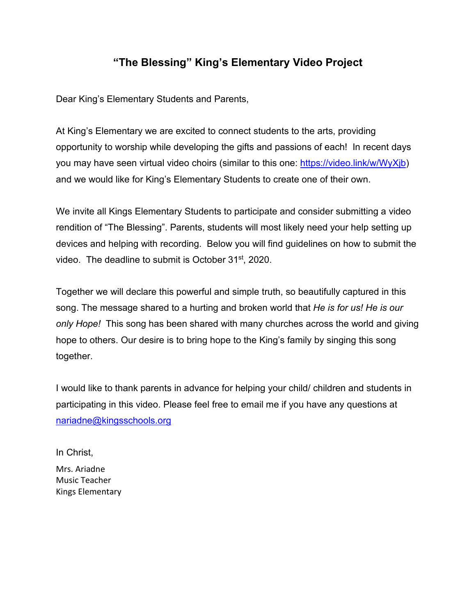# **"The Blessing" King's Elementary Video Project**

Dear King's Elementary Students and Parents,

At King's Elementary we are excited to connect students to the arts, providing opportunity to worship while developing the gifts and passions of each! In recent days you may have seen virtual video choirs (similar to this one: [https://video.link/w/WyXjb\)](https://video.link/w/WyXjb) and we would like for King's Elementary Students to create one of their own.

We invite all Kings Elementary Students to participate and consider submitting a video rendition of "The Blessing". Parents, students will most likely need your help setting up devices and helping with recording. Below you will find guidelines on how to submit the video. The deadline to submit is October 31<sup>st</sup>, 2020.

Together we will declare this powerful and simple truth, so beautifully captured in this song. The message shared to a hurting and broken world that *He is for us! He is our only Hope!* This song has been shared with many churches across the world and giving hope to others. Our desire is to bring hope to the King's family by singing this song together.

I would like to thank parents in advance for helping your child/ children and students in participating in this video. Please feel free to email me if you have any questions at [nariadne@kingsschools.org](mailto:nariadne@kingsschools.org)

In Christ, Mrs. Ariadne Music Teacher Kings Elementary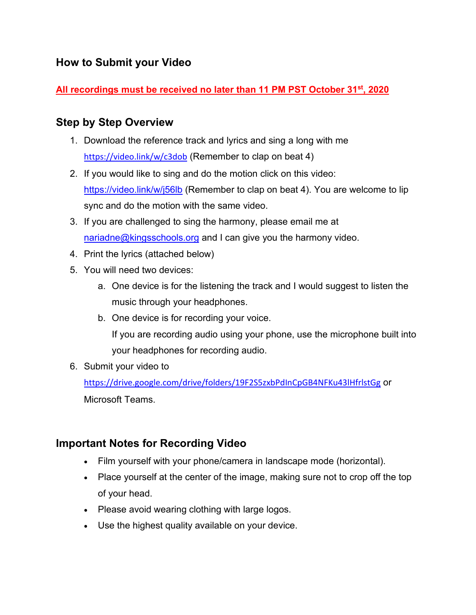# **How to Submit your Video**

## **All recordings must be received no later than 11 PM PST October 31st, 2020**

## **Step by Step Overview**

- 1. Download the reference track and lyrics and sing a long with me <https://video.link/w/c3dob> (Remember to clap on beat 4)
- 2. If you would like to sing and do the motion click on this video: <https://video.link/w/j56lb> (Remember to clap on beat 4). You are welcome to lip sync and do the motion with the same video.
- 3. If you are challenged to sing the harmony, please email me at [nariadne@kingsschools.org](mailto:nariadne@kingsschools.org) and I can give you the harmony video.
- 4. Print the lyrics (attached below)
- 5. You will need two devices:
	- a. One device is for the listening the track and I would suggest to listen the music through your headphones.
	- b. One device is for recording your voice.

If you are recording audio using your phone, use the microphone built into your headphones for recording audio.

6. Submit your video to

<https://drive.google.com/drive/folders/19F2S5zxbPdInCpGB4NFKu43lHfrlstGg> or Microsoft Teams.

# **Important Notes for Recording Video**

- Film yourself with your phone/camera in landscape mode (horizontal).
- Place yourself at the center of the image, making sure not to crop off the top of your head.
- Please avoid wearing clothing with large logos.
- Use the highest quality available on your device.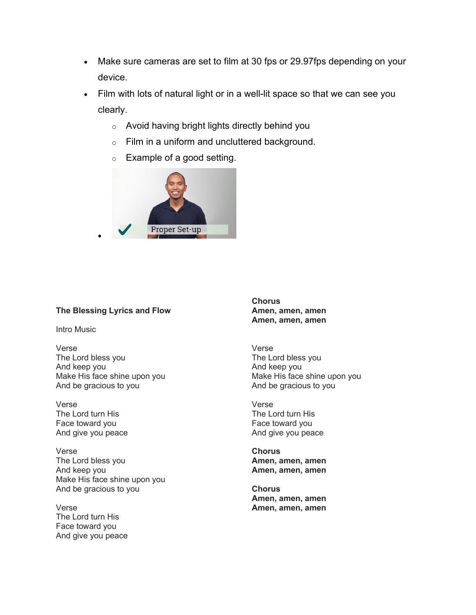- Make sure cameras are set to film at 30 fps or 29.97fps depending on your device.
- Film with lots of natural light or in a well-lit space so that we can see you clearly.
	- o Avoid having bright lights directly behind you
	- o Film in a uniform and uncluttered background.
	- o Example of a good setting.



### **The Blessing Lyrics and Flow**

•

Intro Music

Verse The Lord bless you And keep you Make His face shine upon you And be gracious to you

Verse The Lord turn His Face toward you And give you peace

Verse The Lord bless you And keep you Make His face shine upon you And be gracious to you

Verse The Lord turn His Face toward you And give you peace **Chorus Amen, amen, amen Amen, amen, amen**

Verse The Lord bless you And keep you Make His face shine upon you And be gracious to you

Verse The Lord turn His Face toward you And give you peace

**Chorus Amen, amen, amen Amen, amen, amen**

**Chorus Amen, amen, amen Amen, amen, amen**